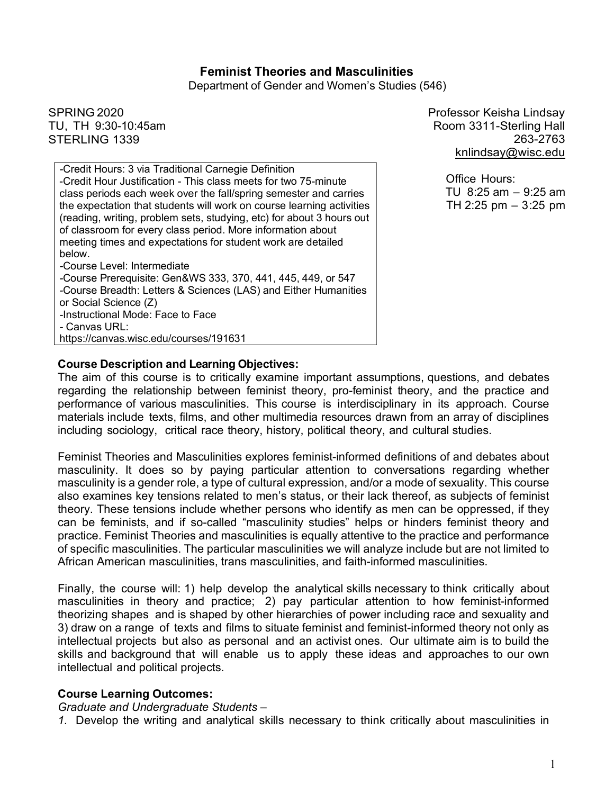### **Feminist Theories and Masculinities**

Department of Gender and Women's Studies (546)

SPRING 2020 TU, TH 9:30-10:45am STERLING 1339

*-*Credit Hours: 3 via Traditional Carnegie Definition -Credit Hour Justification - This class meets for two 75-minute class periods each week over the fall/spring semester and carries the expectation that students will work on course learning activities (reading, writing, problem sets, studying, etc) for about 3 hours out of classroom for every class period. More information about meeting times and expectations for student work are detailed below. *-*Course Level: Intermediate *-*Course Prerequisite: Gen&WS 333, 370, 441, 445, 449, or 547 *-*Course Breadth: Letters & Sciences (LAS) and Either Humanities or Social Science (Z) *-*Instructional Mode: Face to Face *-* Canvas URL: https://canvas.wisc.edu/courses/191631

Professor Keisha Lindsay Room 3311-Sterling Hall 263-2763 knlindsay@wisc.edu

> Office Hours: TU 8:25 am – 9:25 am TH 2:25 pm – 3:25 pm

#### **Course Description and Learning Objectives:**

The aim of this course is to critically examine important assumptions, questions, and debates regarding the relationship between feminist theory, pro-feminist theory, and the practice and performance of various masculinities. This course is interdisciplinary in its approach. Course materials include texts, films, and other multimedia resources drawn from an array of disciplines including sociology, critical race theory, history, political theory, and cultural studies.

Feminist Theories and Masculinities explores feminist-informed definitions of and debates about masculinity. It does so by paying particular attention to conversations regarding whether masculinity is a gender role, a type of cultural expression, and/or a mode of sexuality. This course also examines key tensions related to men's status, or their lack thereof, as subjects of feminist theory. These tensions include whether persons who identify as men can be oppressed, if they can be feminists, and if so-called "masculinity studies" helps or hinders feminist theory and practice. Feminist Theories and masculinities is equally attentive to the practice and performance of specific masculinities. The particular masculinities we will analyze include but are not limited to African American masculinities, trans masculinities, and faith-informed masculinities.

Finally, the course will: 1) help develop the analytical skills necessary to think critically about masculinities in theory and practice; 2) pay particular attention to how feminist-informed theorizing shapes and is shaped by other hierarchies of power including race and sexuality and 3) draw on a range of texts and films to situate feminist and feminist-informed theory not only as intellectual projects but also as personal and an activist ones. Our ultimate aim is to build the skills and background that will enable us to apply these ideas and approaches to our own intellectual and political projects.

#### **Course Learning Outcomes:**

*Graduate and Undergraduate Students –*

*1.* Develop the writing and analytical skills necessary to think critically about masculinities in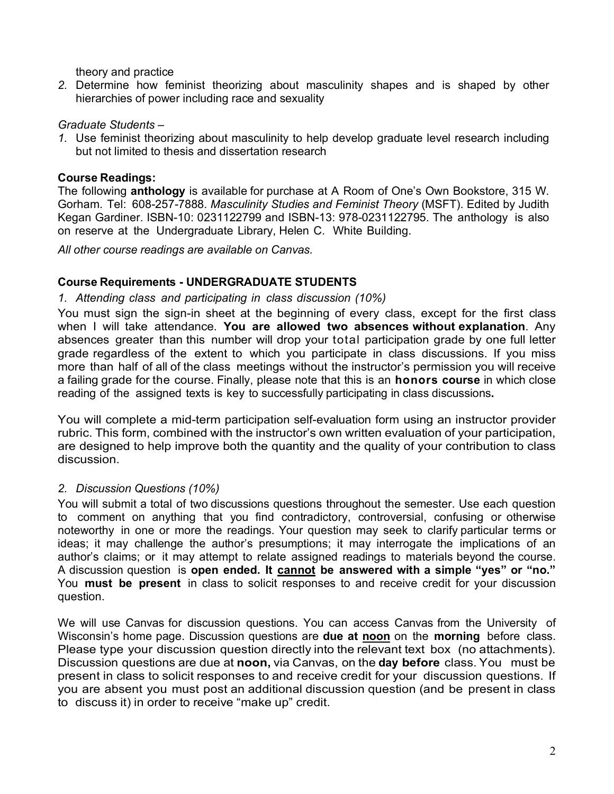theory and practice

*2.* Determine how feminist theorizing about masculinity shapes and is shaped by other hierarchies of power including race and sexuality

## *Graduate Students –*

*1.* Use feminist theorizing about masculinity to help develop graduate level research including but not limited to thesis and dissertation research

## **Course Readings:**

The following **anthology** is available for purchase at A Room of One's Own Bookstore, 315 W. Gorham. Tel: 608-257-7888. *Masculinity Studies and Feminist Theory* (MSFT). Edited by Judith Kegan Gardiner. ISBN-10: 0231122799 and ISBN-13: 978-0231122795. The anthology is also on reserve at the Undergraduate Library, Helen C. White Building.

*All other course readings are available on Canvas.*

## **Course Requirements - UNDERGRADUATE STUDENTS**

*1. Attending class and participating in class discussion (10%)*

You must sign the sign-in sheet at the beginning of every class, except for the first class when I will take attendance. **You are allowed two absences without explanation**. Any absences greater than this number will drop your total participation grade by one full letter grade regardless of the extent to which you participate in class discussions. If you miss more than half of all of the class meetings without the instructor's permission you will receive a failing grade for the course. Finally, please note that this is an **honors course** in which close reading of the assigned texts is key to successfully participating in class discussions**.**

You will complete a mid-term participation self-evaluation form using an instructor provider rubric. This form, combined with the instructor's own written evaluation of your participation, are designed to help improve both the quantity and the quality of your contribution to class discussion.

## *2. Discussion Questions (10%)*

You will submit a total of two discussions questions throughout the semester. Use each question to comment on anything that you find contradictory, controversial, confusing or otherwise noteworthy in one or more the readings. Your question may seek to clarify particular terms or ideas; it may challenge the author's presumptions; it may interrogate the implications of an author's claims; or it may attempt to relate assigned readings to materials beyond the course. A discussion question is **open ended. It cannot be answered with a simple "yes" or "no."** You **must be present** in class to solicit responses to and receive credit for your discussion question.

We will use Canvas for discussion questions. You can access Canvas from the University of Wisconsin's home page. Discussion questions are **due at noon** on the **morning** before class. Please type your discussion question directly into the relevant text box (no attachments). Discussion questions are due at **noon,** via Canvas, on the **day before** class. You must be present in class to solicit responses to and receive credit for your discussion questions. If you are absent you must post an additional discussion question (and be present in class to discuss it) in order to receive "make up" credit.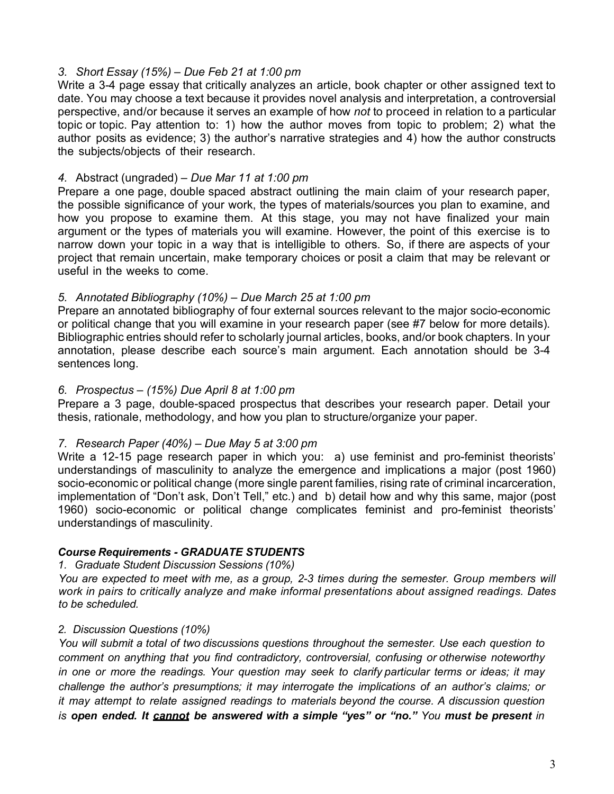#### *3. Short Essay (15%) – Due Feb 21 at 1:00 pm*

Write a 3-4 page essay that critically analyzes an article, book chapter or other assigned text to date. You may choose a text because it provides novel analysis and interpretation, a controversial perspective, and/or because it serves an example of how *not* to proceed in relation to a particular topic or topic. Pay attention to: 1) how the author moves from topic to problem; 2) what the author posits as evidence; 3) the author's narrative strategies and 4) how the author constructs the subjects/objects of their research.

### *4.* Abstract (ungraded) – *Due Mar 11 at 1:00 pm*

Prepare a one page, double spaced abstract outlining the main claim of your research paper, the possible significance of your work, the types of materials/sources you plan to examine, and how you propose to examine them. At this stage, you may not have finalized your main argument or the types of materials you will examine. However, the point of this exercise is to narrow down your topic in a way that is intelligible to others. So, if there are aspects of your project that remain uncertain, make temporary choices or posit a claim that may be relevant or useful in the weeks to come.

### *5. Annotated Bibliography (10%)* – *Due March 25 at 1:00 pm*

Prepare an annotated bibliography of four external sources relevant to the major socio-economic or political change that you will examine in your research paper (see #7 below for more details). Bibliographic entries should refer to scholarly journal articles, books, and/or book chapters. In your annotation, please describe each source's main argument. Each annotation should be 3-4 sentences long.

### *6. Prospectus – (15%) Due April 8 at 1:00 pm*

Prepare a 3 page, double-spaced prospectus that describes your research paper. Detail your thesis, rationale, methodology, and how you plan to structure/organize your paper.

## *7. Research Paper (40%)* – *Due May 5 at 3:00 pm*

Write a 12-15 page research paper in which you: a) use feminist and pro-feminist theorists' understandings of masculinity to analyze the emergence and implications a major (post 1960) socio-economic or political change (more single parent families, rising rate of criminal incarceration, implementation of "Don't ask, Don't Tell," etc.) and b) detail how and why this same, major (post 1960) socio-economic or political change complicates feminist and pro-feminist theorists' understandings of masculinity.

## *Course Requirements - GRADUATE STUDENTS*

#### *1. Graduate Student Discussion Sessions (10%)*

*You are expected to meet with me, as a group, 2-3 times during the semester. Group members will work in pairs to critically analyze and make informal presentations about assigned readings. Dates to be scheduled.*

## *2. Discussion Questions (10%)*

*You will submit a total of two discussions questions throughout the semester. Use each question to comment on anything that you find contradictory, controversial, confusing or otherwise noteworthy in one or more the readings. Your question may seek to clarify particular terms or ideas; it may challenge the author's presumptions; it may interrogate the implications of an author's claims; or it may attempt to relate assigned readings to materials beyond the course. A discussion question is open ended. It cannot be answered with a simple "yes" or "no." You must be present in*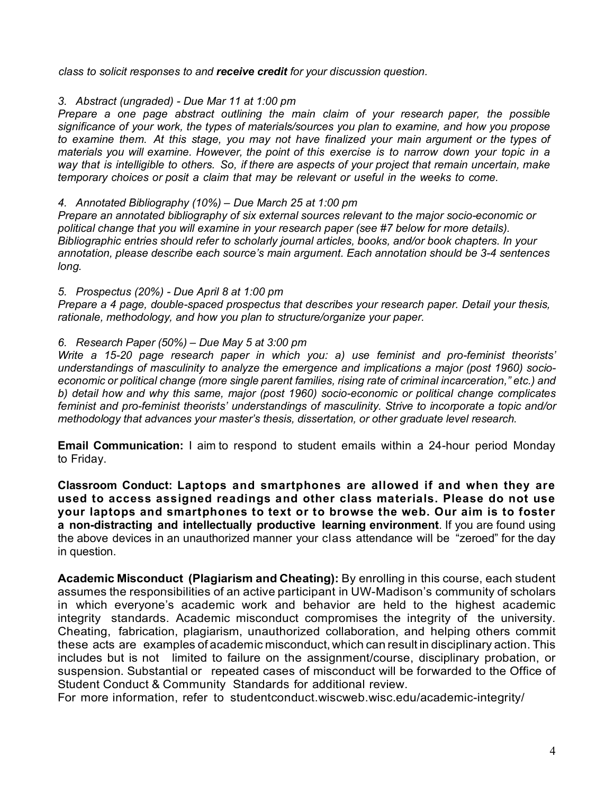*class to solicit responses to and receive credit for your discussion question.*

#### *3. Abstract (ungraded) - Due Mar 11 at 1:00 pm*

*Prepare a one page abstract outlining the main claim of your research paper, the possible significance of your work, the types of materials/sources you plan to examine, and how you propose to examine them. At this stage, you may not have finalized your main argument or the types of materials you will examine. However, the point of this exercise is to narrow down your topic in a way that is intelligible to others. So, if there are aspects of your project that remain uncertain, make temporary choices or posit a claim that may be relevant or useful in the weeks to come.*

#### *4. Annotated Bibliography (10%) – Due March 25 at 1:00 pm*

*Prepare an annotated bibliography of six external sources relevant to the major socio-economic or political change that you will examine in your research paper (see #7 below for more details). Bibliographic entries should refer to scholarly journal articles, books, and/or book chapters. In your annotation, please describe each source's main argument. Each annotation should be 3-4 sentences long.*

#### *5. Prospectus (20%) - Due April 8 at 1:00 pm*

*Prepare a 4 page, double-spaced prospectus that describes your research paper. Detail your thesis, rationale, methodology, and how you plan to structure/organize your paper.*

#### *6. Research Paper (50%) – Due May 5 at 3:00 pm*

*Write a 15-20 page research paper in which you: a) use feminist and pro-feminist theorists' understandings of masculinity to analyze the emergence and implications a major (post 1960) socioeconomic or political change (more single parent families, rising rate of criminal incarceration," etc.) and b) detail how and why this same, major (post 1960) socio-economic or political change complicates feminist and pro-feminist theorists' understandings of masculinity. Strive to incorporate a topic and/or methodology that advances your master's thesis, dissertation, or other graduate level research.* 

**Email Communication:** I aim to respond to student emails within a 24-hour period Monday to Friday.

**Classroom Conduct: Laptops and smartphones are allowed if and when they are used to access assigned readings and other class materials. Please do not use your laptops and smartphones to text or to browse the web. Our aim is to foster a non-distracting and intellectually productive learning environment**. If you are found using the above devices in an unauthorized manner your class attendance will be "zeroed" for the day in question.

**Academic Misconduct (Plagiarism and Cheating):** By enrolling in this course, each student assumes the responsibilities of an active participant in UW-Madison's community of scholars in which everyone's academic work and behavior are held to the highest academic integrity standards. Academic misconduct compromises the integrity of the university. Cheating, fabrication, plagiarism, unauthorized collaboration, and helping others commit these acts are examples of academic misconduct,which can result in disciplinary action. This includes but is not limited to failure on the assignment/course, disciplinary probation, or suspension. Substantial or repeated cases of misconduct will be forwarded to the Office of Student Conduct & Community Standards for additional review.

For more information, refer to studentconduct.wiscweb.wisc.edu/academic-integrity/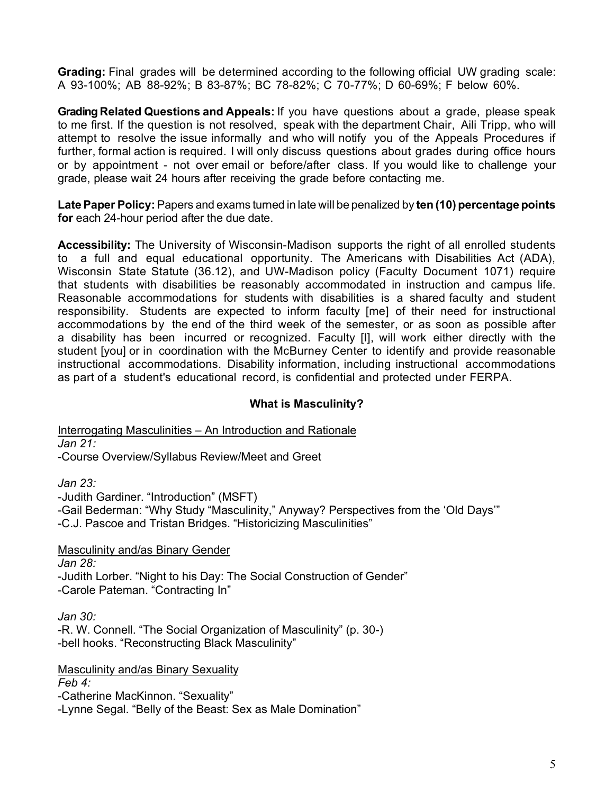**Grading:** Final grades will be determined according to the following official UW grading scale: A 93-100%; AB 88-92%; B 83-87%; BC 78-82%; C 70-77%; D 60-69%; F below 60%.

**Grading Related Questions and Appeals:** If you have questions about a grade, please speak to me first. If the question is not resolved, speak with the department Chair, Aili Tripp, who will attempt to resolve the issue informally and who will notify you of the Appeals Procedures if further, formal action is required. I will only discuss questions about grades during office hours or by appointment - not over email or before/after class. If you would like to challenge your grade, please wait 24 hours after receiving the grade before contacting me.

**LatePaper Policy:** Papers and exams turned in late will be penalized by **ten (10) percentage points for** each 24-hour period after the due date.

**Accessibility:** The University of Wisconsin-Madison supports the right of all enrolled students to a full and equal educational opportunity. The Americans with Disabilities Act (ADA), Wisconsin State Statute (36.12), and UW-Madison policy (Faculty Document 1071) require that students with disabilities be reasonably accommodated in instruction and campus life. Reasonable accommodations for students with disabilities is a shared faculty and student responsibility. Students are expected to inform faculty [me] of their need for instructional accommodations by the end of the third week of the semester, or as soon as possible after a disability has been incurred or recognized. Faculty [I], will work either directly with the student [you] or in coordination with the McBurney Center to identify and provide reasonable instructional accommodations. Disability information, including instructional accommodations as part of a student's educational record, is confidential and protected under FERPA.

## **What is Masculinity?**

Interrogating Masculinities – An Introduction and Rationale *Jan 21:*  -Course Overview/Syllabus Review/Meet and Greet

*Jan 23:*

-Judith Gardiner. "Introduction" (MSFT)

-Gail Bederman: "Why Study "Masculinity," Anyway? Perspectives from the 'Old Days'"

-C.J. Pascoe and Tristan Bridges. "Historicizing Masculinities"

Masculinity and/as Binary Gender

*Jan 28:* 

-Judith Lorber. "Night to his Day: The Social Construction of Gender" -Carole Pateman. "Contracting In"

*Jan 30:*

-R. W. Connell. "The Social Organization of Masculinity" (p. 30-) -bell hooks. "Reconstructing Black Masculinity"

Masculinity and/as Binary Sexuality

*Feb 4:*

-Catherine MacKinnon. "Sexuality"

-Lynne Segal. "Belly of the Beast: Sex as Male Domination"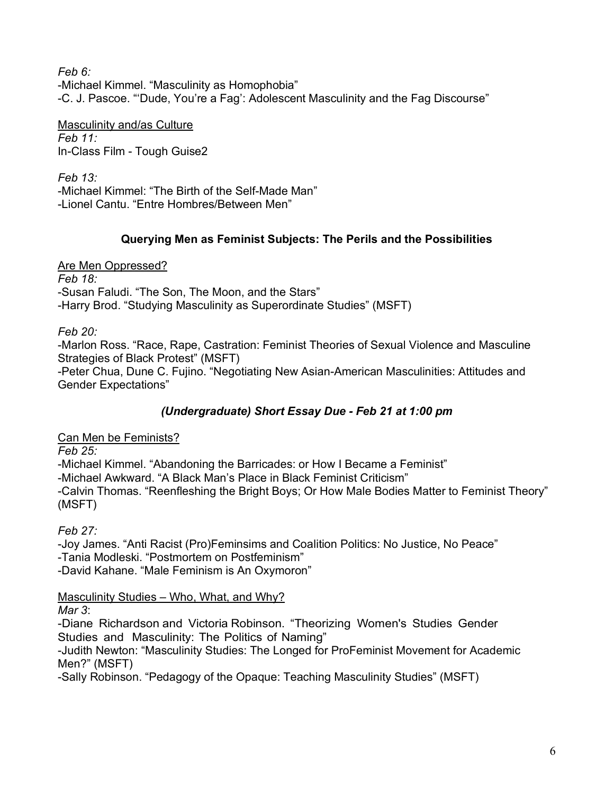*Feb 6:* -Michael Kimmel. "Masculinity as Homophobia" -C. J. Pascoe. "'Dude, You're a Fag': Adolescent Masculinity and the Fag Discourse"

Masculinity and/as Culture *Feb 11:* In-Class Film - Tough Guise2

*Feb 13:*  -Michael Kimmel: "The Birth of the Self-Made Man" -Lionel Cantu. "Entre Hombres/Between Men"

# **Querying Men as Feminist Subjects: The Perils and the Possibilities**

Are Men Oppressed? *Feb 18:* 

-Susan Faludi. "The Son, The Moon, and the Stars" -Harry Brod. "Studying Masculinity as Superordinate Studies" (MSFT)

*Feb 20:*

-Marlon Ross. "Race, Rape, Castration: Feminist Theories of Sexual Violence and Masculine Strategies of Black Protest" (MSFT)

-Peter Chua, Dune C. Fujino. "Negotiating New Asian-American Masculinities: Attitudes and Gender Expectations"

# *(Undergraduate) Short Essay Due - Feb 21 at 1:00 pm*

Can Men be Feminists?

*Feb 25:* 

-Michael Kimmel. "Abandoning the Barricades: or How I Became a Feminist"

-Michael Awkward. "A Black Man's Place in Black Feminist Criticism"

-Calvin Thomas. "Reenfleshing the Bright Boys; Or How Male Bodies Matter to Feminist Theory" (MSFT)

*Feb 27:*

-Joy James. "Anti Racist (Pro)Feminsims and Coalition Politics: No Justice, No Peace" -Tania Modleski. "Postmortem on Postfeminism" -David Kahane. "Male Feminism is An Oxymoron"

Masculinity Studies – Who, What, and Why?

*Mar 3*:

-Diane Richardson and Victoria Robinson. "Theorizing Women's Studies Gender Studies and Masculinity: The Politics of Naming"

-Judith Newton: "Masculinity Studies: The Longed for ProFeminist Movement for Academic Men?" (MSFT)

-Sally Robinson. "Pedagogy of the Opaque: Teaching Masculinity Studies" (MSFT)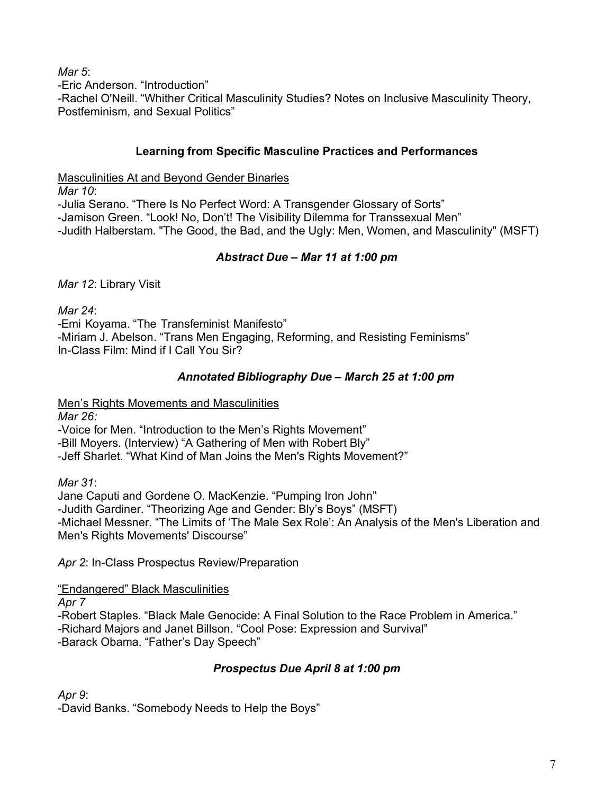*Mar 5*:

-Eric Anderson. "Introduction"

-Rachel O'Neill. "Whither Critical Masculinity Studies? Notes on Inclusive Masculinity Theory, Postfeminism, and Sexual Politics"

# **Learning from Specific Masculine Practices and Performances**

Masculinities At and Beyond Gender Binaries

*Mar 10*:

-Julia Serano. "There Is No Perfect Word: A Transgender Glossary of Sorts" -Jamison Green. "Look! No, Don't! The Visibility Dilemma for Transsexual Men" -Judith Halberstam. "The Good, the Bad, and the Ugly: Men, Women, and Masculinity" (MSFT)

# *Abstract Due – Mar 11 at 1:00 pm*

*Mar 12*: Library Visit

*Mar 24*: -Emi Koyama. "The Transfeminist Manifesto" -Miriam J. Abelson. "Trans Men Engaging, Reforming, and Resisting Feminisms" In-Class Film: Mind if I Call You Sir?

# *Annotated Bibliography Due* **–** *March 25 at 1:00 pm*

Men's Rights Movements and Masculinities

*Mar 26:*

-Voice for Men. "Introduction to the Men's Rights Movement" -Bill Moyers. (Interview) "A Gathering of Men with Robert Bly" -Jeff Sharlet. "What Kind of Man Joins the Men's Rights Movement?"

*Mar 31*:

Jane Caputi and Gordene O. MacKenzie. "Pumping Iron John" -Judith Gardiner. "Theorizing Age and Gender: Bly's Boys" (MSFT) -Michael Messner. "The Limits of 'The Male Sex Role': An Analysis of the Men's Liberation and Men's Rights Movements' Discourse"

*Apr 2*: In-Class Prospectus Review/Preparation

"Endangered" Black Masculinities

*Apr 7*

-Robert Staples. "Black Male Genocide: A Final Solution to the Race Problem in America." -Richard Majors and Janet Billson. "Cool Pose: Expression and Survival" -Barack Obama. "Father's Day Speech"

# *Prospectus Due April 8 at 1:00 pm*

*Apr 9*:

-David Banks. "Somebody Needs to Help the Boys"